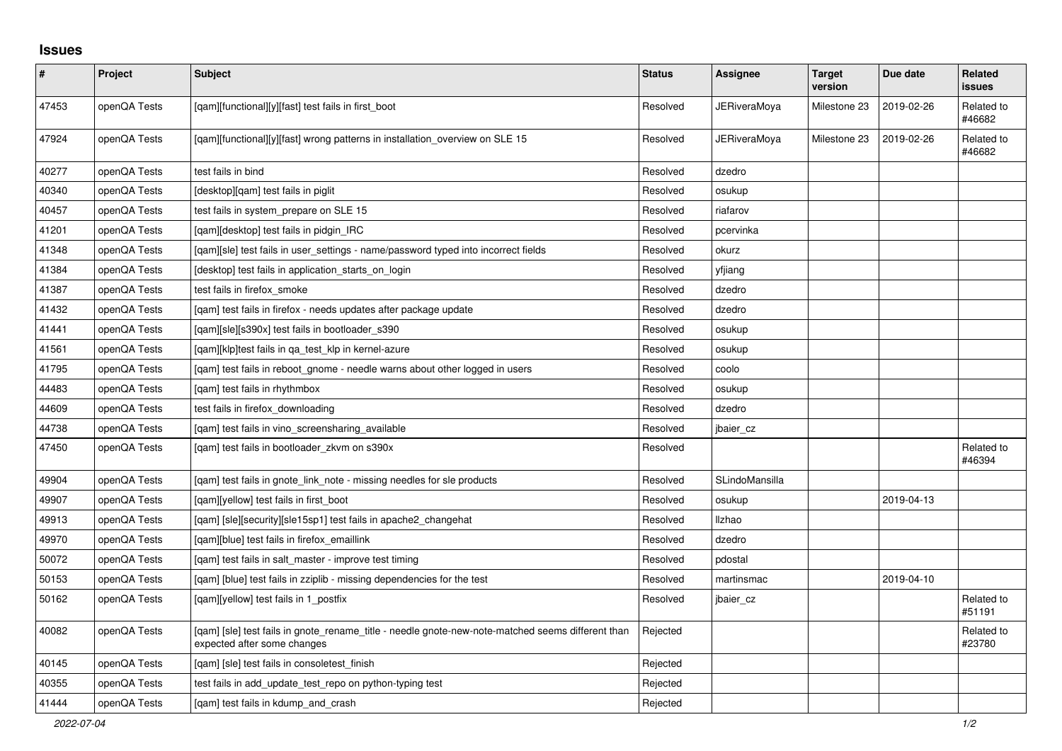## **Issues**

| $\pmb{\#}$ | Project      | <b>Subject</b>                                                                                                                   | <b>Status</b> | <b>Assignee</b> | <b>Target</b><br>version | Due date   | <b>Related</b><br>issues |
|------------|--------------|----------------------------------------------------------------------------------------------------------------------------------|---------------|-----------------|--------------------------|------------|--------------------------|
| 47453      | openQA Tests | [qam][functional][y][fast] test fails in first_boot                                                                              | Resolved      | JERiveraMoya    | Milestone 23             | 2019-02-26 | Related to<br>#46682     |
| 47924      | openQA Tests | [qam][functional][y][fast] wrong patterns in installation_overview on SLE 15                                                     | Resolved      | JERiveraMoya    | Milestone 23             | 2019-02-26 | Related to<br>#46682     |
| 40277      | openQA Tests | test fails in bind                                                                                                               | Resolved      | dzedro          |                          |            |                          |
| 40340      | openQA Tests | [desktop][qam] test fails in piglit                                                                                              | Resolved      | osukup          |                          |            |                          |
| 40457      | openQA Tests | test fails in system prepare on SLE 15                                                                                           | Resolved      | riafarov        |                          |            |                          |
| 41201      | openQA Tests | [qam][desktop] test fails in pidgin_IRC                                                                                          | Resolved      | pcervinka       |                          |            |                          |
| 41348      | openQA Tests | [gam][sle] test fails in user settings - name/password typed into incorrect fields                                               | Resolved      | okurz           |                          |            |                          |
| 41384      | openQA Tests | [desktop] test fails in application starts on login                                                                              | Resolved      | yfjiang         |                          |            |                          |
| 41387      | openQA Tests | test fails in firefox smoke                                                                                                      | Resolved      | dzedro          |                          |            |                          |
| 41432      | openQA Tests | [gam] test fails in firefox - needs updates after package update                                                                 | Resolved      | dzedro          |                          |            |                          |
| 41441      | openQA Tests | [qam][sle][s390x] test fails in bootloader_s390                                                                                  | Resolved      | osukup          |                          |            |                          |
| 41561      | openQA Tests | [gam][klp]test fails in ga test klp in kernel-azure                                                                              | Resolved      | osukup          |                          |            |                          |
| 41795      | openQA Tests | [gam] test fails in reboot gnome - needle warns about other logged in users                                                      | Resolved      | coolo           |                          |            |                          |
| 44483      | openQA Tests | [gam] test fails in rhythmbox                                                                                                    | Resolved      | osukup          |                          |            |                          |
| 44609      | openQA Tests | test fails in firefox_downloading                                                                                                | Resolved      | dzedro          |                          |            |                          |
| 44738      | openQA Tests | [qam] test fails in vino_screensharing_available                                                                                 | Resolved      | jbaier_cz       |                          |            |                          |
| 47450      | openQA Tests | [gam] test fails in bootloader zkym on s390x                                                                                     | Resolved      |                 |                          |            | Related to<br>#46394     |
| 49904      | openQA Tests | [gam] test fails in gnote link note - missing needles for sle products                                                           | Resolved      | SLindoMansilla  |                          |            |                          |
| 49907      | openQA Tests | [qam][yellow] test fails in first_boot                                                                                           | Resolved      | osukup          |                          | 2019-04-13 |                          |
| 49913      | openQA Tests | [qam] [sle][security][sle15sp1] test fails in apache2_changehat                                                                  | Resolved      | <b>Ilzhao</b>   |                          |            |                          |
| 49970      | openQA Tests | [qam][blue] test fails in firefox_emaillink                                                                                      | Resolved      | dzedro          |                          |            |                          |
| 50072      | openQA Tests | [gam] test fails in salt master - improve test timing                                                                            | Resolved      | pdostal         |                          |            |                          |
| 50153      | openQA Tests | [qam] [blue] test fails in zziplib - missing dependencies for the test                                                           | Resolved      | martinsmac      |                          | 2019-04-10 |                          |
| 50162      | openQA Tests | [gam][yellow] test fails in 1 postfix                                                                                            | Resolved      | jbaier cz       |                          |            | Related to<br>#51191     |
| 40082      | openQA Tests | [gam] [sle] test fails in gnote rename title - needle gnote-new-note-matched seems different than<br>expected after some changes | Rejected      |                 |                          |            | Related to<br>#23780     |
| 40145      | openQA Tests | [gam] [sle] test fails in consoletest finish                                                                                     | Rejected      |                 |                          |            |                          |
| 40355      | openQA Tests | test fails in add_update_test_repo on python-typing test                                                                         | Rejected      |                 |                          |            |                          |
| 41444      | openQA Tests | [gam] test fails in kdump and crash                                                                                              | Rejected      |                 |                          |            |                          |